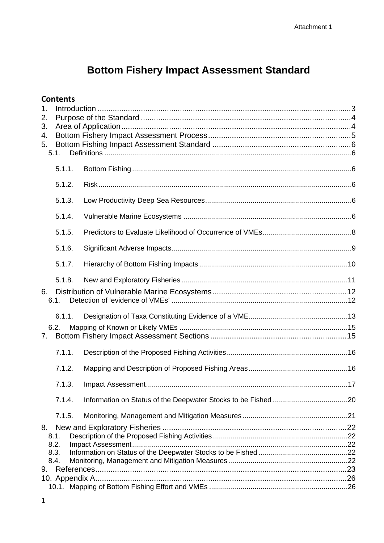# **Bottom Fishery Impact Assessment Standard**

### **Contents**

| 1.<br>2. |              |  |
|----------|--------------|--|
| 3.       |              |  |
| 4.       |              |  |
| 5.       |              |  |
|          | 5.1.         |  |
|          | 5.1.1.       |  |
|          | 5.1.2.       |  |
|          | 5.1.3.       |  |
|          | 5.1.4.       |  |
|          | 5.1.5.       |  |
|          | 5.1.6.       |  |
|          | 5.1.7.       |  |
|          | 5.1.8.       |  |
| 6.       |              |  |
|          | 6.1.         |  |
|          | 6.1.1.       |  |
|          | 6.2.         |  |
| 7.       |              |  |
|          | 7.1.1.       |  |
|          | 7.1.2.       |  |
|          | 7.1.3.       |  |
|          | 7.1.4.       |  |
|          | 7.1.5.       |  |
| 8.       |              |  |
|          | 8.1.         |  |
|          | 8.2.         |  |
|          | 8.3.<br>8.4. |  |
| 9.       |              |  |
|          |              |  |
|          |              |  |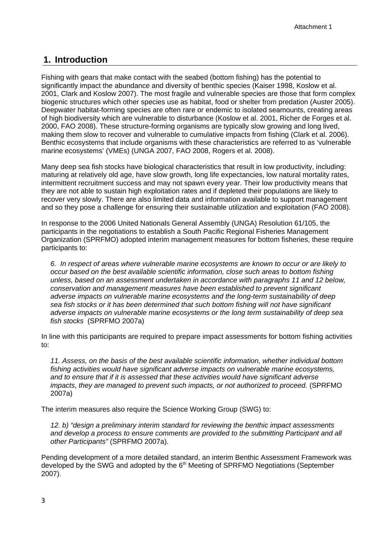# **1. Introduction**

Fishing with gears that make contact with the seabed (bottom fishing) has the potential to significantly impact the abundance and diversity of benthic species (Kaiser 1998, Koslow et al. 2001, Clark and Koslow 2007). The most fragile and vulnerable species are those that form complex biogenic structures which other species use as habitat, food or shelter from predation (Auster 2005). Deepwater habitat-forming species are often rare or endemic to isolated seamounts, creating areas of high biodiversity which are vulnerable to disturbance (Koslow et al. 2001, Richer de Forges et al. 2000, FAO 2008). These structure-forming organisms are typically slow growing and long lived, making them slow to recover and vulnerable to cumulative impacts from fishing (Clark et al. 2006). Benthic ecosystems that include organisms with these characteristics are referred to as 'vulnerable marine ecosystems' (VMEs) (UNGA 2007, FAO 2008, Rogers et al. 2008).

Many deep sea fish stocks have biological characteristics that result in low productivity, including: maturing at relatively old age, have slow growth, long life expectancies, low natural mortality rates, intermittent recruitment success and may not spawn every year. Their low productivity means that they are not able to sustain high exploitation rates and if depleted their populations are likely to recover very slowly. There are also limited data and information available to support management and so they pose a challenge for ensuring their sustainable utilization and exploitation (FAO 2008).

In response to the 2006 United Nationals General Assembly (UNGA) Resolution 61/105, the participants in the negotiations to establish a South Pacific Regional Fisheries Management Organization (SPRFMO) adopted interim management measures for bottom fisheries, these require participants to:

*6. In respect of areas where vulnerable marine ecosystems are known to occur or are likely to occur based on the best available scientific information, close such areas to bottom fishing unless, based on an assessment undertaken in accordance with paragraphs 11 and 12 below, conservation and management measures have been established to prevent significant adverse impacts on vulnerable marine ecosystems and the long-term sustainability of deep sea fish stocks or it has been determined that such bottom fishing will not have significant adverse impacts on vulnerable marine ecosystems or the long term sustainability of deep sea fish stocks* (SPRFMO 2007a)

In line with this participants are required to prepare impact assessments for bottom fishing activities to:

*11. Assess, on the basis of the best available scientific information, whether individual bottom fishing activities would have significant adverse impacts on vulnerable marine ecosystems, and to ensure that if it is assessed that these activities would have significant adverse impacts, they are managed to prevent such impacts, or not authorized to proceed.* (SPRFMO 2007a)

The interim measures also require the Science Working Group (SWG) to:

*12. b) "design a preliminary interim standard for reviewing the benthic impact assessments and develop a process to ensure comments are provided to the submitting Participant and all other Participants"* (SPRFMO 2007a).

Pending development of a more detailed standard, an interim Benthic Assessment Framework was developed by the SWG and adopted by the  $6<sup>th</sup>$  Meeting of SPRFMO Negotiations (September 2007).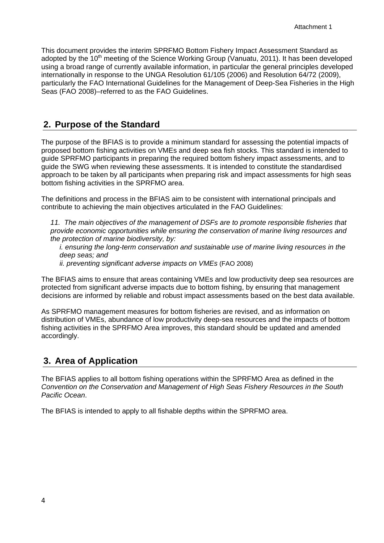This document provides the interim SPRFMO Bottom Fishery Impact Assessment Standard as adopted by the 10<sup>th</sup> meeting of the Science Working Group (Vanuatu, 2011). It has been developed using a broad range of currently available information, in particular the general principles developed internationally in response to the UNGA Resolution 61/105 (2006) and Resolution 64/72 (2009), particularly the FAO International Guidelines for the Management of Deep-Sea Fisheries in the High Seas (FAO 2008)–referred to as the FAO Guidelines.

# **2. Purpose of the Standard**

The purpose of the BFIAS is to provide a minimum standard for assessing the potential impacts of proposed bottom fishing activities on VMEs and deep sea fish stocks. This standard is intended to guide SPRFMO participants in preparing the required bottom fishery impact assessments, and to guide the SWG when reviewing these assessments. It is intended to constitute the standardised approach to be taken by all participants when preparing risk and impact assessments for high seas bottom fishing activities in the SPRFMO area.

The definitions and process in the BFIAS aim to be consistent with international principals and contribute to achieving the main objectives articulated in the FAO Guidelines:

*11. The main objectives of the management of DSFs are to promote responsible fisheries that provide economic opportunities while ensuring the conservation of marine living resources and the protection of marine biodiversity, by:* 

*i. ensuring the long-term conservation and sustainable use of marine living resources in the deep seas; and* 

*ii. preventing significant adverse impacts on VMEs* (FAO 2008)

The BFIAS aims to ensure that areas containing VMEs and low productivity deep sea resources are protected from significant adverse impacts due to bottom fishing, by ensuring that management decisions are informed by reliable and robust impact assessments based on the best data available.

As SPRFMO management measures for bottom fisheries are revised, and as information on distribution of VMEs, abundance of low productivity deep-sea resources and the impacts of bottom fishing activities in the SPRFMO Area improves, this standard should be updated and amended accordingly.

# **3. Area of Application**

The BFIAS applies to all bottom fishing operations within the SPRFMO Area as defined in the *Convention on the Conservation and Management of High Seas Fishery Resources in the South Pacific Ocean*.

The BFIAS is intended to apply to all fishable depths within the SPRFMO area.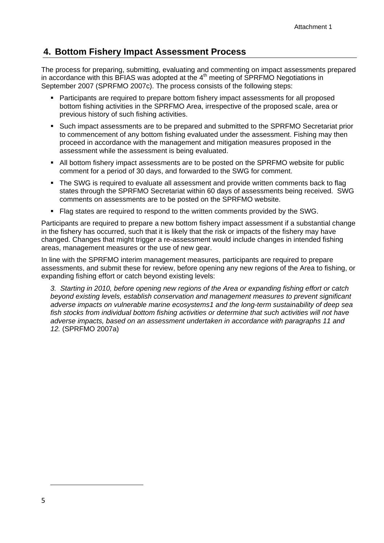# **4. Bottom Fishery Impact Assessment Process**

The process for preparing, submitting, evaluating and commenting on impact assessments prepared in accordance with this BFIAS was adopted at the  $4<sup>th</sup>$  meeting of SPRFMO Negotiations in September 2007 (SPRFMO 2007c). The process consists of the following steps:

- Participants are required to prepare bottom fishery impact assessments for all proposed bottom fishing activities in the SPRFMO Area, irrespective of the proposed scale, area or previous history of such fishing activities.
- Such impact assessments are to be prepared and submitted to the SPRFMO Secretariat prior to commencement of any bottom fishing evaluated under the assessment. Fishing may then proceed in accordance with the management and mitigation measures proposed in the assessment while the assessment is being evaluated.
- All bottom fishery impact assessments are to be posted on the SPRFMO website for public comment for a period of 30 days, and forwarded to the SWG for comment.
- The SWG is required to evaluate all assessment and provide written comments back to flag states through the SPRFMO Secretariat within 60 days of assessments being received. SWG comments on assessments are to be posted on the SPRFMO website.
- Flag states are required to respond to the written comments provided by the SWG.

Participants are required to prepare a new bottom fishery impact assessment if a substantial change in the fishery has occurred, such that it is likely that the risk or impacts of the fishery may have changed. Changes that might trigger a re-assessment would include changes in intended fishing areas, management measures or the use of new gear.

In line with the SPRFMO interim management measures, participants are required to prepare assessments, and submit these for review, before opening any new regions of the Area to fishing, or expanding fishing effort or catch beyond existing levels:

*3. Starting in 2010, before opening new regions of the Area or expanding fishing effort or catch beyond existing levels, establish conservation and management measures to prevent significant adverse impacts on vulnerable marine ecosystems1 and the long-term sustainability of deep sea fish stocks from individual bottom fishing activities or determine that such activities will not have adverse impacts, based on an assessment undertaken in accordance with paragraphs 11 and 12.* (SPRFMO 2007a)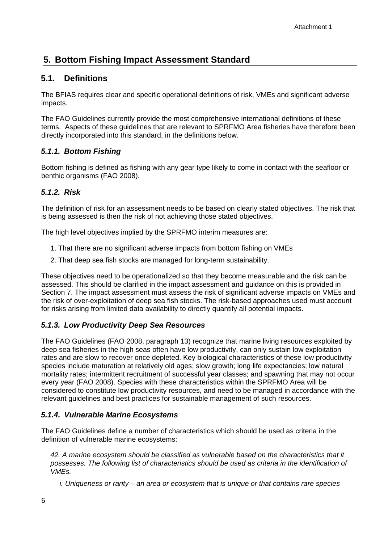# **5. Bottom Fishing Impact Assessment Standard**

# **5.1. Definitions**

The BFIAS requires clear and specific operational definitions of risk, VMEs and significant adverse impacts.

The FAO Guidelines currently provide the most comprehensive international definitions of these terms. Aspects of these guidelines that are relevant to SPRFMO Area fisheries have therefore been directly incorporated into this standard, in the definitions below.

# *5.1.1. Bottom Fishing*

Bottom fishing is defined as fishing with any gear type likely to come in contact with the seafloor or benthic organisms (FAO 2008).

# *5.1.2. Risk*

The definition of risk for an assessment needs to be based on clearly stated objectives. The risk that is being assessed is then the risk of not achieving those stated objectives.

The high level objectives implied by the SPRFMO interim measures are:

- 1. That there are no significant adverse impacts from bottom fishing on VMEs
- 2. That deep sea fish stocks are managed for long-term sustainability.

These objectives need to be operationalized so that they become measurable and the risk can be assessed. This should be clarified in the impact assessment and guidance on this is provided in Section 7. The impact assessment must assess the risk of significant adverse impacts on VMEs and the risk of over-exploitation of deep sea fish stocks. The risk-based approaches used must account for risks arising from limited data availability to directly quantify all potential impacts.

# *5.1.3. Low Productivity Deep Sea Resources*

The FAO Guidelines (FAO 2008, paragraph 13) recognize that marine living resources exploited by deep sea fisheries in the high seas often have low productivity, can only sustain low exploitation rates and are slow to recover once depleted. Key biological characteristics of these low productivity species include maturation at relatively old ages; slow growth; long life expectancies; low natural mortality rates; intermittent recruitment of successful year classes; and spawning that may not occur every year (FAO 2008). Species with these characteristics within the SPRFMO Area will be considered to constitute low productivity resources, and need to be managed in accordance with the relevant guidelines and best practices for sustainable management of such resources.

# *5.1.4. Vulnerable Marine Ecosystems*

The FAO Guidelines define a number of characteristics which should be used as criteria in the definition of vulnerable marine ecosystems:

*42. A marine ecosystem should be classified as vulnerable based on the characteristics that it possesses. The following list of characteristics should be used as criteria in the identification of VMEs.* 

*i. Uniqueness or rarity – an area or ecosystem that is unique or that contains rare species*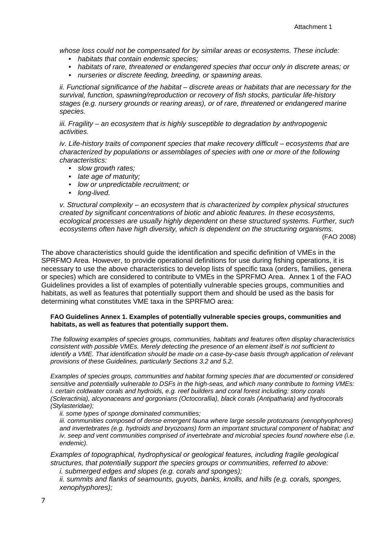*whose loss could not be compensated for by similar areas or ecosystems. These include:* 

- *habitats that contain endemic species;*
- *habitats of rare, threatened or endangered species that occur only in discrete areas; or*
- *nurseries or discrete feeding, breeding, or spawning areas.*

*ii. Functional significance of the habitat – discrete areas or habitats that are necessary for the survival, function, spawning/reproduction or recovery of fish stocks, particular life-history stages (e.g. nursery grounds or rearing areas), or of rare, threatened or endangered marine species.* 

*iii. Fragility – an ecosystem that is highly susceptible to degradation by anthropogenic activities.* 

*iv. Life-history traits of component species that make recovery difficult – ecosystems that are characterized by populations or assemblages of species with one or more of the following characteristics:* 

- *slow growth rates;*
- *late age of maturity;*
- *low or unpredictable recruitment; or*
- *long-lived.*

*v. Structural complexity – an ecosystem that is characterized by complex physical structures created by significant concentrations of biotic and abiotic features. In these ecosystems, ecological processes are usually highly dependent on these structured systems. Further, such ecosystems often have high diversity, which is dependent on the structuring organisms.*  (FAO 2008)

The above characteristics should guide the identification and specific definition of VMEs in the SPRFMO Area. However, to provide operational definitions for use during fishing operations, it is necessary to use the above characteristics to develop lists of specific taxa (orders, families, genera or species) which are considered to contribute to VMEs in the SPRFMO Area. Annex 1 of the FAO Guidelines provides a list of examples of potentially vulnerable species groups, communities and habitats, as well as features that potentially support them and should be used as the basis for determining what constitutes VME taxa in the SPRFMO area:

#### **FAO Guidelines Annex 1. Examples of potentially vulnerable species groups, communities and habitats, as well as features that potentially support them.**

*The following examples of species groups, communities, habitats and features often display characteristics consistent with possible VMEs. Merely detecting the presence of an element itself is not sufficient to identify a VME. That identification should be made on a case-by-case basis through application of relevant provisions of these Guidelines, particularly Sections 3.2 and 5.2.* 

*Examples of species groups, communities and habitat forming species that are documented or considered sensitive and potentially vulnerable to DSFs in the high-seas, and which many contribute to forming VMEs: i. certain coldwater corals and hydroids, e.g. reef builders and coral forest including: stony corals (Scleractinia), alcyonaceans and gorgonians (Octocorallia), black corals (Antipatharia) and hydrocorals (Stylasteridae);* 

*ii. some types of sponge dominated communities;* 

*iii. communities composed of dense emergent fauna where large sessile protozoans (xenophyophores) and invertebrates (e.g. hydroids and bryozoans) form an important structural component of habitat; and iv. seep and vent communities comprised of invertebrate and microbial species found nowhere else (i.e. endemic).* 

*Examples of topographical, hydrophysical or geological features, including fragile geological structures, that potentially support the species groups or communities, referred to above: i. submerged edges and slopes (e.g. corals and sponges);* 

*ii. summits and flanks of seamounts, guyots, banks, knolls, and hills (e.g. corals, sponges, xenophyphores);*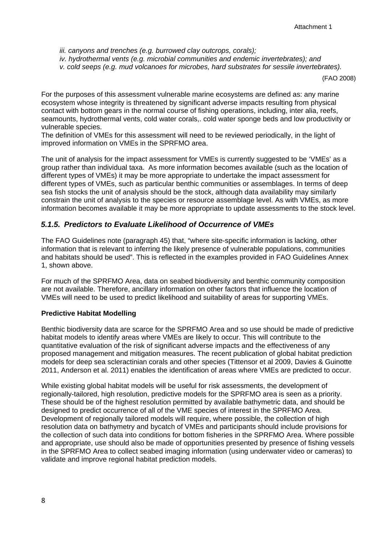*iii. canyons and trenches (e.g. burrowed clay outcrops, corals);* 

*iv. hydrothermal vents (e.g. microbial communities and endemic invertebrates); and* 

*v. cold seeps (e.g. mud volcanoes for microbes, hard substrates for sessile invertebrates).* 

(FAO 2008)

For the purposes of this assessment vulnerable marine ecosystems are defined as: any marine ecosystem whose integrity is threatened by significant adverse impacts resulting from physical contact with bottom gears in the normal course of fishing operations, including, inter alia, reefs, seamounts, hydrothermal vents, cold water corals,. cold water sponge beds and low productivity or vulnerable species.

The definition of VMEs for this assessment will need to be reviewed periodically, in the light of improved information on VMEs in the SPRFMO area.

The unit of analysis for the impact assessment for VMEs is currently suggested to be 'VMEs' as a group rather than individual taxa. As more information becomes available (such as the location of different types of VMEs) it may be more appropriate to undertake the impact assessment for different types of VMEs, such as particular benthic communities or assemblages. In terms of deep sea fish stocks the unit of analysis should be the stock, although data availability may similarly constrain the unit of analysis to the species or resource assemblage level. As with VMEs, as more information becomes available it may be more appropriate to update assessments to the stock level.

### *5.1.5. Predictors to Evaluate Likelihood of Occurrence of VMEs*

The FAO Guidelines note (paragraph 45) that, "where site-specific information is lacking, other information that is relevant to inferring the likely presence of vulnerable populations, communities and habitats should be used". This is reflected in the examples provided in FAO Guidelines Annex 1, shown above.

For much of the SPRFMO Area, data on seabed biodiversity and benthic community composition are not available. Therefore, ancillary information on other factors that influence the location of VMEs will need to be used to predict likelihood and suitability of areas for supporting VMEs.

#### **Predictive Habitat Modelling**

Benthic biodiversity data are scarce for the SPRFMO Area and so use should be made of predictive habitat models to identify areas where VMEs are likely to occur. This will contribute to the quantitative evaluation of the risk of significant adverse impacts and the effectiveness of any proposed management and mitigation measures. The recent publication of global habitat prediction models for deep sea scleractinian corals and other species (Tittensor et al 2009, Davies & Guinotte 2011, Anderson et al. 2011) enables the identification of areas where VMEs are predicted to occur.

While existing global habitat models will be useful for risk assessments, the development of regionally-tailored, high resolution, predictive models for the SPRFMO area is seen as a priority. These should be of the highest resolution permitted by available bathymetric data, and should be designed to predict occurrence of all of the VME species of interest in the SPRFMO Area. Development of regionally tailored models will require, where possible, the collection of high resolution data on bathymetry and bycatch of VMEs and participants should include provisions for the collection of such data into conditions for bottom fisheries in the SPRFMO Area. Where possible and appropriate, use should also be made of opportunities presented by presence of fishing vessels in the SPRFMO Area to collect seabed imaging information (using underwater video or cameras) to validate and improve regional habitat prediction models.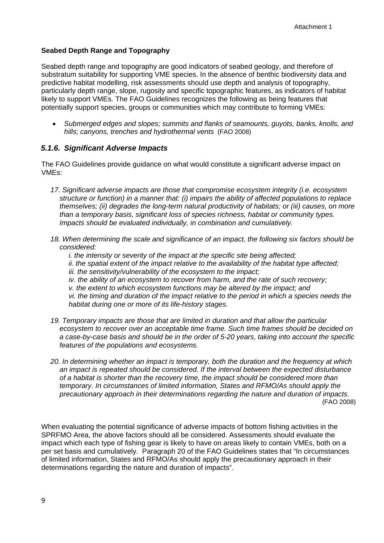#### **Seabed Depth Range and Topography**

Seabed depth range and topography are good indicators of seabed geology, and therefore of substratum suitability for supporting VME species. In the absence of benthic biodiversity data and predictive habitat modelling, risk assessments should use depth and analysis of topography, particularly depth range, slope, rugosity and specific topographic features, as indicators of habitat likely to support VMEs. The FAO Guidelines recognizes the following as being features that potentially support species, groups or communities which may contribute to forming VMEs:

 *Submerged edges and slopes; summits and flanks of seamounts, guyots, banks, knolls, and hills; canyons, trenches and hydrothermal vents* (FAO 2008)

### *5.1.6. Significant Adverse Impacts*

The FAO Guidelines provide guidance on what would constitute a significant adverse impact on VMEs:

- *17. Significant adverse impacts are those that compromise ecosystem integrity (i.e. ecosystem structure or function) in a manner that: (i) impairs the ability of affected populations to replace themselves; (ii) degrades the long-term natural productivity of habitats; or (iii) causes, on more than a temporary basis, significant loss of species richness, habitat or community types. Impacts should be evaluated individually, in combination and cumulatively.*
- *18. When determining the scale and significance of an impact, the following six factors should be considered:* 
	- *i. the intensity or severity of the impact at the specific site being affected;*
	- *ii. the spatial extent of the impact relative to the availability of the habitat type affected;*
	- *iii. the sensitivity/vulnerability of the ecosystem to the impact;*
	- *iv. the ability of an ecosystem to recover from harm, and the rate of such recovery;*
	- *v. the extent to which ecosystem functions may be altered by the impact; and*

*vi. the timing and duration of the impact relative to the period in which a species needs the habitat during one or more of its life-history stages.* 

- *19. Temporary impacts are those that are limited in duration and that allow the particular ecosystem to recover over an acceptable time frame. Such time frames should be decided on a case-by-case basis and should be in the order of 5-20 years, taking into account the specific features of the populations and ecosystems.*
- *20. In determining whether an impact is temporary, both the duration and the frequency at which an impact is repeated should be considered. If the interval between the expected disturbance of a habitat is shorter than the recovery time, the impact should be considered more than temporary. In circumstances of limited information, States and RFMO/As should apply the precautionary approach in their determinations regarding the nature and duration of impacts.*  (FAO 2008)

When evaluating the potential significance of adverse impacts of bottom fishing activities in the SPRFMO Area, the above factors should all be considered. Assessments should evaluate the impact which each type of fishing gear is likely to have on areas likely to contain VMEs, both on a per set basis and cumulatively. Paragraph 20 of the FAO Guidelines states that "In circumstances of limited information, States and RFMO/As should apply the precautionary approach in their determinations regarding the nature and duration of impacts".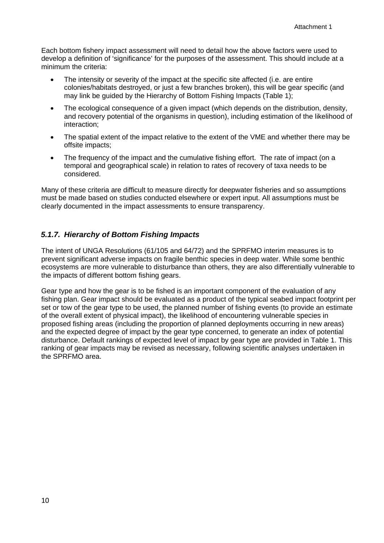Each bottom fishery impact assessment will need to detail how the above factors were used to develop a definition of 'significance' for the purposes of the assessment. This should include at a minimum the criteria:

- The intensity or severity of the impact at the specific site affected (i.e. are entire colonies/habitats destroyed, or just a few branches broken), this will be gear specific (and may link be guided by the Hierarchy of Bottom Fishing Impacts (Table 1);
- The ecological consequence of a given impact (which depends on the distribution, density, and recovery potential of the organisms in question), including estimation of the likelihood of interaction;
- The spatial extent of the impact relative to the extent of the VME and whether there may be offsite impacts;
- The frequency of the impact and the cumulative fishing effort. The rate of impact (on a temporal and geographical scale) in relation to rates of recovery of taxa needs to be considered.

Many of these criteria are difficult to measure directly for deepwater fisheries and so assumptions must be made based on studies conducted elsewhere or expert input. All assumptions must be clearly documented in the impact assessments to ensure transparency.

### *5.1.7. Hierarchy of Bottom Fishing Impacts*

The intent of UNGA Resolutions (61/105 and 64/72) and the SPRFMO interim measures is to prevent significant adverse impacts on fragile benthic species in deep water. While some benthic ecosystems are more vulnerable to disturbance than others, they are also differentially vulnerable to the impacts of different bottom fishing gears.

Gear type and how the gear is to be fished is an important component of the evaluation of any fishing plan. Gear impact should be evaluated as a product of the typical seabed impact footprint per set or tow of the gear type to be used, the planned number of fishing events (to provide an estimate of the overall extent of physical impact), the likelihood of encountering vulnerable species in proposed fishing areas (including the proportion of planned deployments occurring in new areas) and the expected degree of impact by the gear type concerned, to generate an index of potential disturbance. Default rankings of expected level of impact by gear type are provided in Table 1. This ranking of gear impacts may be revised as necessary, following scientific analyses undertaken in the SPRFMO area.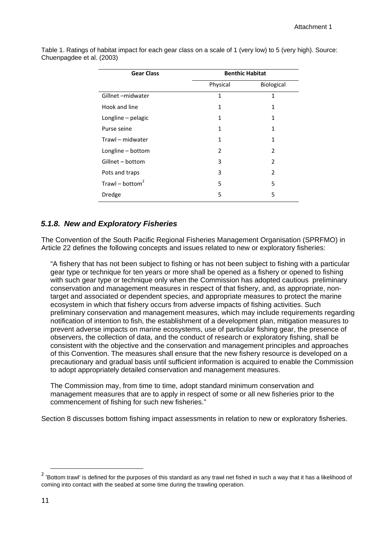| <b>Gear Class</b>           | <b>Benthic Habitat</b> |                   |
|-----------------------------|------------------------|-------------------|
|                             | Physical               | <b>Biological</b> |
| Gillnet-midwater            | 1                      | $\mathbf{1}$      |
| Hook and line               | 1                      | 1                 |
| Longline - pelagic          | 1                      | 1                 |
| Purse seine                 | 1                      | 1                 |
| Trawl - midwater            | 1                      | 1                 |
| Longline - bottom           | $\mathcal{P}$          | $\overline{2}$    |
| Gillnet - bottom            | 3                      | $\overline{2}$    |
| Pots and traps              | 3                      | $\mathcal{P}$     |
| Trawl – bottom <sup>2</sup> | 5                      | 5                 |
| Dredge                      | 5                      | 5                 |

Table 1. Ratings of habitat impact for each gear class on a scale of 1 (very low) to 5 (very high). Source: Chuenpagdee et al. (2003)

### *5.1.8. New and Exploratory Fisheries*

The Convention of the South Pacific Regional Fisheries Management Organisation (SPRFMO) in Article 22 defines the following concepts and issues related to new or exploratory fisheries:

"A fishery that has not been subject to fishing or has not been subject to fishing with a particular gear type or technique for ten years or more shall be opened as a fishery or opened to fishing with such gear type or technique only when the Commission has adopted cautious preliminary conservation and management measures in respect of that fishery, and, as appropriate, nontarget and associated or dependent species, and appropriate measures to protect the marine ecosystem in which that fishery occurs from adverse impacts of fishing activities. Such preliminary conservation and management measures, which may include requirements regarding notification of intention to fish, the establishment of a development plan, mitigation measures to prevent adverse impacts on marine ecosystems, use of particular fishing gear, the presence of observers, the collection of data, and the conduct of research or exploratory fishing, shall be consistent with the objective and the conservation and management principles and approaches of this Convention. The measures shall ensure that the new fishery resource is developed on a precautionary and gradual basis until sufficient information is acquired to enable the Commission to adopt appropriately detailed conservation and management measures.

The Commission may, from time to time, adopt standard minimum conservation and management measures that are to apply in respect of some or all new fisheries prior to the commencement of fishing for such new fisheries."

Section 8 discusses bottom fishing impact assessments in relation to new or exploratory fisheries.

 $\overline{a}$ 

<sup>&</sup>lt;sup>2</sup> 'Bottom trawl' is defined for the purposes of this standard as any trawl net fished in such a way that it has a likelihood of coming into contact with the seabed at some time during the trawling operation.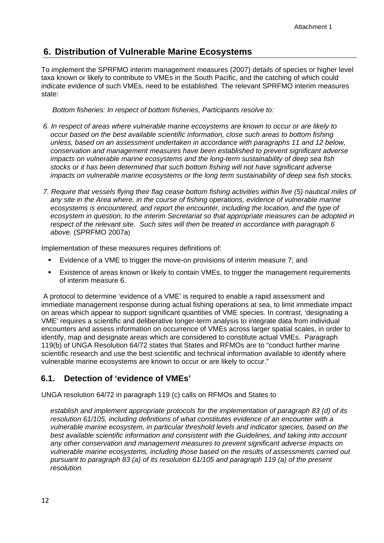# **6. Distribution of Vulnerable Marine Ecosystems**

To implement the SPRFMO interim management measures (2007) details of species or higher level taxa known or likely to contribute to VMEs in the South Pacific, and the catching of which could indicate evidence of such VMEs, need to be established. The relevant SPRFMO interim measures state:

*Bottom fisheries: In respect of bottom fisheries, Participants resolve to:* 

- *6. In respect of areas where vulnerable marine ecosystems are known to occur or are likely to occur based on the best available scientific information, close such areas to bottom fishing unless, based on an assessment undertaken in accordance with paragraphs 11 and 12 below, conservation and management measures have been established to prevent significant adverse impacts on vulnerable marine ecosystems and the long-term sustainability of deep sea fish stocks or it has been determined that such bottom fishing will not have significant adverse impacts on vulnerable marine ecosystems or the long term sustainability of deep sea fish stocks.*
- *7. Require that vessels flying their flag cease bottom fishing activities within five (5) nautical miles of any site in the Area where, in the course of fishing operations, evidence of vulnerable marine ecosystems is encountered, and report the encounter, including the location, and the type of ecosystem in question, to the interim Secretariat so that appropriate measures can be adopted in respect of the relevant site. Such sites will then be treated in accordance with paragraph 6 above.* (SPRFMO 2007a)

Implementation of these measures requires definitions of:

- Evidence of a VME to trigger the move-on provisions of interim measure 7; and
- Existence of areas known or likely to contain VMEs, to trigger the management requirements of interim measure 6.

 A protocol to determine 'evidence of a VME' is required to enable a rapid assessment and immediate management response during actual fishing operations at sea, to limit immediate impact on areas which appear to support significant quantities of VME species. In contrast, 'designating a VME' requires a scientific and deliberative longer-term analysis to integrate data from individual encounters and assess information on occurrence of VMEs across larger spatial scales, in order to identify, map and designate areas which are considered to constitute actual VMEs. Paragraph 119(b) of UNGA Resolution 64/72 states that States and RFMOs are to "conduct further marine scientific research and use the best scientific and technical information available to identify where vulnerable marine ecosystems are known to occur or are likely to occur."

# **6.1. Detection of 'evidence of VMEs'**

UNGA resolution 64/72 in paragraph 119 (c) calls on RFMOs and States to

*establish and implement appropriate protocols for the implementation of paragraph 83 (d) of its resolution 61/105, including definitions of what constitutes evidence of an encounter with a vulnerable marine ecosystem, in particular threshold levels and indicator species, based on the best available scientific information and consistent with the Guidelines, and taking into account any other conservation and management measures to prevent significant adverse impacts on vulnerable marine ecosystems, including those based on the results of assessments carried out pursuant to paragraph 83 (a) of its resolution 61/105 and paragraph 119 (a) of the present resolution.*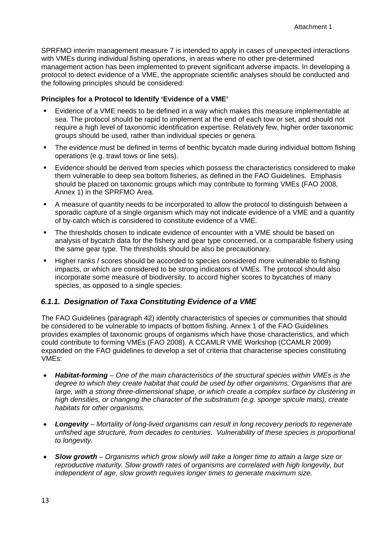SPRFMO interim management measure 7 is intended to apply in cases of unexpected interactions with VMEs during individual fishing operations, in areas where no other pre-determined management action has been implemented to prevent significant adverse impacts. In developing a protocol to detect evidence of a VME, the appropriate scientific analyses should be conducted and the following principles should be considered:

### **Principles for a Protocol to Identify 'Evidence of a VME'**

- Evidence of a VME needs to be defined in a way which makes this measure implementable at sea. The protocol should be rapid to implement at the end of each tow or set, and should not require a high level of taxonomic identification expertise. Relatively few, higher order taxonomic groups should be used, rather than individual species or genera.
- The evidence must be defined in terms of benthic bycatch made during individual bottom fishing operations (e.g. trawl tows or line sets).
- Evidence should be derived from species which possess the characteristics considered to make them vulnerable to deep sea bottom fisheries, as defined in the FAO Guidelines. Emphasis should be placed on taxonomic groups which may contribute to forming VMEs (FAO 2008, Annex 1) in the SPRFMO Area.
- A measure of quantity needs to be incorporated to allow the protocol to distinguish between a sporadic capture of a single organism which may not indicate evidence of a VME and a quantity of by-catch which is considered to constitute evidence of a VME.
- The thresholds chosen to indicate evidence of encounter with a VME should be based on analysis of bycatch data for the fishery and gear type concerned, or a comparable fishery using the same gear type. The thresholds should be also be precautionary.
- Higher ranks / scores should be accorded to species considered more vulnerable to fishing impacts, or which are considered to be strong indicators of VMEs. The protocol should also incorporate some measure of biodiversity, to accord higher scores to bycatches of many species, as opposed to a single species.

### *6.1.1. Designation of Taxa Constituting Evidence of a VME*

The FAO Guidelines (paragraph 42) identify characteristics of species or communities that should be considered to be vulnerable to impacts of bottom fishing. Annex 1 of the FAO Guidelines provides examples of taxonomic groups of organisms which have those characteristics, and which could contribute to forming VMEs (FAO 2008). A CCAMLR VME Workshop (CCAMLR 2009) expanded on the FAO guidelines to develop a set of criteria that characterise species constituting VMEs:

- *Habitat-forming One of the main characteristics of the structural species within VMEs is the degree to which they create habitat that could be used by other organisms. Organisms that are*  large, with a strong three-dimensional shape, or which create a complex surface by clustering in *high densities, or changing the character of the substratum (e.g. sponge spicule mats), create habitats for other organisms.*
- *Longevity Mortality of long-lived organisms can result in long recovery periods to regenerate unfished age structure, from decades to centuries. Vulnerability of these species is proportional to longevity.*
- *Slow growth Organisms which grow slowly will take a longer time to attain a large size or reproductive maturity. Slow growth rates of organisms are correlated with high longevity, but independent of age, slow growth requires longer times to generate maximum size.*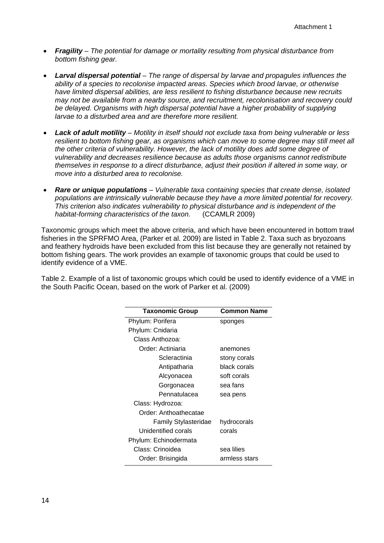- *Fragility The potential for damage or mortality resulting from physical disturbance from bottom fishing gear.*
- *Larval dispersal potential The range of dispersal by larvae and propagules influences the ability of a species to recolonise impacted areas. Species which brood larvae, or otherwise have limited dispersal abilities, are less resilient to fishing disturbance because new recruits may not be available from a nearby source, and recruitment, recolonisation and recovery could be delayed. Organisms with high dispersal potential have a higher probability of supplying larvae to a disturbed area and are therefore more resilient.*
- *Lack of adult motility Motility in itself should not exclude taxa from being vulnerable or less resilient to bottom fishing gear, as organisms which can move to some degree may still meet all the other criteria of vulnerability. However, the lack of motility does add some degree of vulnerability and decreases resilience because as adults those organisms cannot redistribute themselves in response to a direct disturbance, adjust their position if altered in some way, or move into a disturbed area to recolonise.*
- *Rare or unique populations Vulnerable taxa containing species that create dense, isolated populations are intrinsically vulnerable because they have a more limited potential for recovery. This criterion also indicates vulnerability to physical disturbance and is independent of the habitat-forming characteristics of the taxon.* (CCAMLR 2009)

Taxonomic groups which meet the above criteria, and which have been encountered in bottom trawl fisheries in the SPRFMO Area, (Parker et al. 2009) are listed in Table 2. Taxa such as bryozoans and feathery hydroids have been excluded from this list because they are generally not retained by bottom fishing gears. The work provides an example of taxonomic groups that could be used to identify evidence of a VME.

Table 2. Example of a list of taxonomic groups which could be used to identify evidence of a VME in the South Pacific Ocean, based on the work of Parker et al. (2009)

| <b>Taxonomic Group</b>      | <b>Common Name</b> |  |
|-----------------------------|--------------------|--|
| Phylum: Porifera            | sponges            |  |
| Phylum: Cnidaria            |                    |  |
| Class Anthozoa:             |                    |  |
| Order: Actiniaria           | anemones           |  |
| Scleractinia                | stony corals       |  |
| Antipatharia                | black corals       |  |
| Alcyonacea                  | soft corals        |  |
| Gorgonacea                  | sea fans           |  |
| Pennatulacea                | sea pens           |  |
| Class: Hydrozoa:            |                    |  |
| Order: Anthoathecatae       |                    |  |
| <b>Family Stylasteridae</b> | hydrocorals        |  |
| Unidentified corals         | corals             |  |
| Phylum: Echinodermata       |                    |  |
| Class: Crinoidea            | sea lilies         |  |
| Order: Brisingida           | armless stars      |  |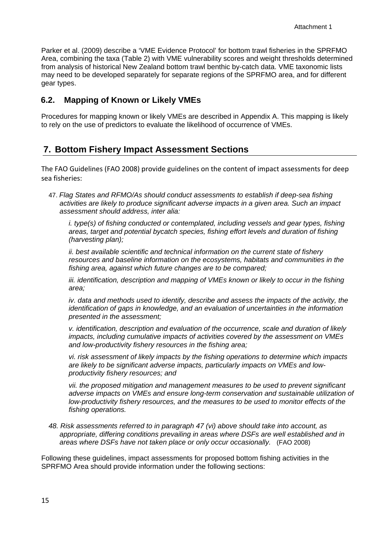Parker et al. (2009) describe a 'VME Evidence Protocol' for bottom trawl fisheries in the SPRFMO Area, combining the taxa (Table 2) with VME vulnerability scores and weight thresholds determined from analysis of historical New Zealand bottom trawl benthic by-catch data. VME taxonomic lists may need to be developed separately for separate regions of the SPRFMO area, and for different gear types.

# **6.2. Mapping of Known or Likely VMEs**

Procedures for mapping known or likely VMEs are described in Appendix A. This mapping is likely to rely on the use of predictors to evaluate the likelihood of occurrence of VMEs.

# **7. Bottom Fishery Impact Assessment Sections**

The FAO Guidelines (FAO 2008) provide guidelines on the content of impact assessments for deep sea fisheries:

47. *Flag States and RFMO/As should conduct assessments to establish if deep-sea fishing activities are likely to produce significant adverse impacts in a given area. Such an impact assessment should address, inter alia:* 

*i. type(s) of fishing conducted or contemplated, including vessels and gear types, fishing areas, target and potential bycatch species, fishing effort levels and duration of fishing (harvesting plan);* 

*ii. best available scientific and technical information on the current state of fishery resources and baseline information on the ecosystems, habitats and communities in the fishing area, against which future changes are to be compared;* 

*iii. identification, description and mapping of VMEs known or likely to occur in the fishing area;* 

*iv. data and methods used to identify, describe and assess the impacts of the activity, the identification of gaps in knowledge, and an evaluation of uncertainties in the information presented in the assessment;* 

*v. identification, description and evaluation of the occurrence, scale and duration of likely impacts, including cumulative impacts of activities covered by the assessment on VMEs and low-productivity fishery resources in the fishing area;* 

*vi. risk assessment of likely impacts by the fishing operations to determine which impacts are likely to be significant adverse impacts, particularly impacts on VMEs and lowproductivity fishery resources; and* 

*vii. the proposed mitigation and management measures to be used to prevent significant adverse impacts on VMEs and ensure long-term conservation and sustainable utilization of low-productivity fishery resources, and the measures to be used to monitor effects of the fishing operations.* 

*48. Risk assessments referred to in paragraph 47 (vi) above should take into account, as appropriate, differing conditions prevailing in areas where DSFs are well established and in areas where DSFs have not taken place or only occur occasionally.* (FAO 2008)

Following these guidelines, impact assessments for proposed bottom fishing activities in the SPRFMO Area should provide information under the following sections: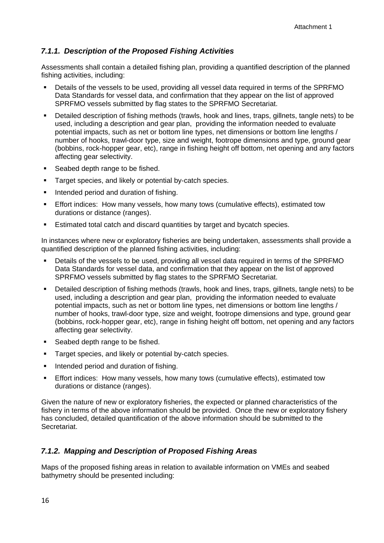# *7.1.1. Description of the Proposed Fishing Activities*

Assessments shall contain a detailed fishing plan, providing a quantified description of the planned fishing activities, including:

- Details of the vessels to be used, providing all vessel data required in terms of the SPRFMO Data Standards for vessel data, and confirmation that they appear on the list of approved SPRFMO vessels submitted by flag states to the SPRFMO Secretariat.
- Detailed description of fishing methods (trawls, hook and lines, traps, gillnets, tangle nets) to be used, including a description and gear plan, providing the information needed to evaluate potential impacts, such as net or bottom line types, net dimensions or bottom line lengths / number of hooks, trawl-door type, size and weight, footrope dimensions and type, ground gear (bobbins, rock-hopper gear, etc), range in fishing height off bottom, net opening and any factors affecting gear selectivity.
- Seabed depth range to be fished.
- Target species, and likely or potential by-catch species.
- Intended period and duration of fishing.
- Effort indices: How many vessels, how many tows (cumulative effects), estimated tow durations or distance (ranges).
- Estimated total catch and discard quantities by target and bycatch species.

In instances where new or exploratory fisheries are being undertaken, assessments shall provide a quantified description of the planned fishing activities, including:

- Details of the vessels to be used, providing all vessel data required in terms of the SPRFMO Data Standards for vessel data, and confirmation that they appear on the list of approved SPRFMO vessels submitted by flag states to the SPRFMO Secretariat.
- Detailed description of fishing methods (trawls, hook and lines, traps, gillnets, tangle nets) to be used, including a description and gear plan, providing the information needed to evaluate potential impacts, such as net or bottom line types, net dimensions or bottom line lengths / number of hooks, trawl-door type, size and weight, footrope dimensions and type, ground gear (bobbins, rock-hopper gear, etc), range in fishing height off bottom, net opening and any factors affecting gear selectivity.
- Seabed depth range to be fished.
- Target species, and likely or potential by-catch species.
- Intended period and duration of fishing.
- **Effort indices: How many vessels, how many tows (cumulative effects), estimated tow** durations or distance (ranges).

Given the nature of new or exploratory fisheries, the expected or planned characteristics of the fishery in terms of the above information should be provided. Once the new or exploratory fishery has concluded, detailed quantification of the above information should be submitted to the Secretariat.

# *7.1.2. Mapping and Description of Proposed Fishing Areas*

Maps of the proposed fishing areas in relation to available information on VMEs and seabed bathymetry should be presented including: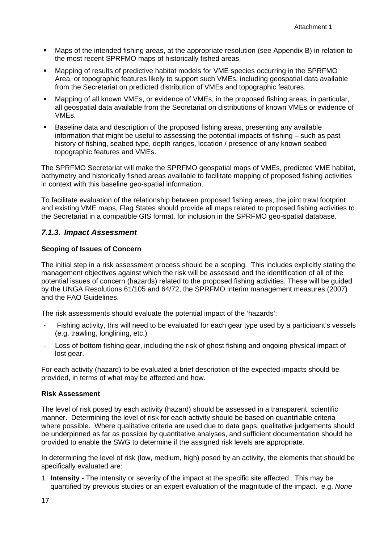- Maps of the intended fishing areas, at the appropriate resolution (see Appendix B) in relation to the most recent SPRFMO maps of historically fished areas.
- Mapping of results of predictive habitat models for VME species occurring in the SPRFMO Area, or topographic features likely to support such VMEs, including geospatial data available from the Secretariat on predicted distribution of VMEs and topographic features.
- Mapping of all known VMEs, or evidence of VMEs, in the proposed fishing areas, in particular, all geospatial data available from the Secretariat on distributions of known VMEs or evidence of VMEs.
- Baseline data and description of the proposed fishing areas, presenting any available information that might be useful to assessing the potential impacts of fishing – such as past history of fishing, seabed type, depth ranges, location / presence of any known seabed topographic features and VMEs.

The SPRFMO Secretariat will make the SPRFMO geospatial maps of VMEs, predicted VME habitat, bathymetry and historically fished areas available to facilitate mapping of proposed fishing activities in context with this baseline geo-spatial information.

To facilitate evaluation of the relationship between proposed fishing areas, the joint trawl footprint and existing VME maps, Flag States should provide all maps related to proposed fishing activities to the Secretariat in a compatible GIS format, for inclusion in the SPRFMO geo-spatial database.

### *7.1.3. Impact Assessment*

#### **Scoping of Issues of Concern**

The initial step in a risk assessment process should be a scoping. This includes explicitly stating the management objectives against which the risk will be assessed and the identification of all of the potential issues of concern (hazards) related to the proposed fishing activities. These will be guided by the UNGA Resolutions 61/105 and 64/72, the SPRFMO interim management measures (2007) and the FAO Guidelines.

The risk assessments should evaluate the potential impact of the 'hazards':

- Fishing activity, this will need to be evaluated for each gear type used by a participant's vessels (e.g. trawling, longlining, etc.)
- Loss of bottom fishing gear, including the risk of ghost fishing and ongoing physical impact of lost gear.

For each activity (hazard) to be evaluated a brief description of the expected impacts should be provided, in terms of what may be affected and how.

#### **Risk Assessment**

The level of risk posed by each activity (hazard) should be assessed in a transparent, scientific manner. Determining the level of risk for each activity should be based on quantifiable criteria where possible. Where qualitative criteria are used due to data gaps, qualitative judgements should be underpinned as far as possible by quantitative analyses, and sufficient documentation should be provided to enable the SWG to determine if the assigned risk levels are appropriate.

In determining the level of risk (low, medium, high) posed by an activity, the elements that should be specifically evaluated are:

1. **Intensity -** The intensity or severity of the impact at the specific site affected. This may be quantified by previous studies or an expert evaluation of the magnitude of the impact. e.g. *None*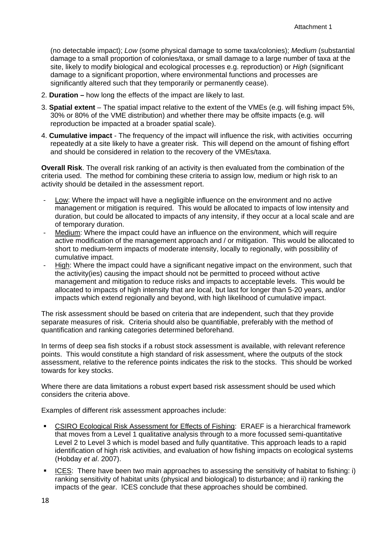(no detectable impact); *Low* (some physical damage to some taxa/colonies); *Medium* (substantial damage to a small proportion of colonies/taxa, or small damage to a large number of taxa at the site, likely to modify biological and ecological processes e.g. reproduction) or *High* (significant damage to a significant proportion, where environmental functions and processes are significantly altered such that they temporarily or permanently cease).

- 2. **Duration –** how long the effects of the impact are likely to last.
- 3. **Spatial extent**  The spatial impact relative to the extent of the VMEs (e.g. will fishing impact 5%, 30% or 80% of the VME distribution) and whether there may be offsite impacts (e.g. will reproduction be impacted at a broader spatial scale).
- 4. **Cumulative impact** The frequency of the impact will influence the risk, with activities occurring repeatedly at a site likely to have a greater risk. This will depend on the amount of fishing effort and should be considered in relation to the recovery of the VMEs/taxa.

**Overall Risk**. The overall risk ranking of an activity is then evaluated from the combination of the criteria used. The method for combining these criteria to assign low, medium or high risk to an activity should be detailed in the assessment report.

- Low: Where the impact will have a negligible influence on the environment and no active management or mitigation is required. This would be allocated to impacts of low intensity and duration, but could be allocated to impacts of any intensity, if they occur at a local scale and are of temporary duration.
- Medium: Where the impact could have an influence on the environment, which will require active modification of the management approach and / or mitigation. This would be allocated to short to medium-term impacts of moderate intensity, locally to regionally, with possibility of cumulative impact.
- High: Where the impact could have a significant negative impact on the environment, such that the activity(ies) causing the impact should not be permitted to proceed without active management and mitigation to reduce risks and impacts to acceptable levels. This would be allocated to impacts of high intensity that are local, but last for longer than 5-20 years, and/or impacts which extend regionally and beyond, with high likelihood of cumulative impact.

The risk assessment should be based on criteria that are independent, such that they provide separate measures of risk. Criteria should also be quantifiable, preferably with the method of quantification and ranking categories determined beforehand.

In terms of deep sea fish stocks if a robust stock assessment is available, with relevant reference points. This would constitute a high standard of risk assessment, where the outputs of the stock assessment, relative to the reference points indicates the risk to the stocks. This should be worked towards for key stocks.

Where there are data limitations a robust expert based risk assessment should be used which considers the criteria above.

Examples of different risk assessment approaches include:

- CSIRO Ecological Risk Assessment for Effects of Fishing: ERAEF is a hierarchical framework that moves from a Level 1 qualitative analysis through to a more focussed semi-quantitative Level 2 to Level 3 which is model based and fully quantitative. This approach leads to a rapid identification of high risk activities, and evaluation of how fishing impacts on ecological systems (Hobday *et al*. 2007).
- ICES: There have been two main approaches to assessing the sensitivity of habitat to fishing: i) ranking sensitivity of habitat units (physical and biological) to disturbance; and ii) ranking the impacts of the gear. ICES conclude that these approaches should be combined.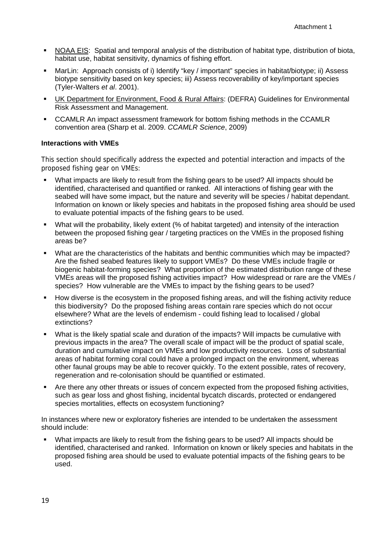- NOAA EIS: Spatial and temporal analysis of the distribution of habitat type, distribution of biota, habitat use, habitat sensitivity, dynamics of fishing effort.
- MarLin: Approach consists of i) Identify "key / important" species in habitat/biotype; ii) Assess biotype sensitivity based on key species; iii) Assess recoverability of key/important species (Tyler-Walters *et al*. 2001).
- UK Department for Environment, Food & Rural Affairs: (DEFRA) Guidelines for Environmental Risk Assessment and Management.
- CCAMLR An impact assessment framework for bottom fishing methods in the CCAMLR convention area (Sharp et al. 2009. *CCAMLR Science*, 2009)

### **Interactions with VMEs**

This section should specifically address the expected and potential interaction and impacts of the proposed fishing gear on VMEs:

- What impacts are likely to result from the fishing gears to be used? All impacts should be identified, characterised and quantified or ranked. All interactions of fishing gear with the seabed will have some impact, but the nature and severity will be species / habitat dependant. Information on known or likely species and habitats in the proposed fishing area should be used to evaluate potential impacts of the fishing gears to be used.
- What will the probability, likely extent (% of habitat targeted) and intensity of the interaction between the proposed fishing gear / targeting practices on the VMEs in the proposed fishing areas be?
- What are the characteristics of the habitats and benthic communities which may be impacted? Are the fished seabed features likely to support VMEs? Do these VMEs include fragile or biogenic habitat-forming species? What proportion of the estimated distribution range of these VMEs areas will the proposed fishing activities impact? How widespread or rare are the VMEs / species? How vulnerable are the VMEs to impact by the fishing gears to be used?
- How diverse is the ecosystem in the proposed fishing areas, and will the fishing activity reduce this biodiversity? Do the proposed fishing areas contain rare species which do not occur elsewhere? What are the levels of endemism - could fishing lead to localised / global extinctions?
- What is the likely spatial scale and duration of the impacts? Will impacts be cumulative with previous impacts in the area? The overall scale of impact will be the product of spatial scale, duration and cumulative impact on VMEs and low productivity resources. Loss of substantial areas of habitat forming coral could have a prolonged impact on the environment, whereas other faunal groups may be able to recover quickly. To the extent possible, rates of recovery, regeneration and re-colonisation should be quantified or estimated.
- Are there any other threats or issues of concern expected from the proposed fishing activities, such as gear loss and ghost fishing, incidental bycatch discards, protected or endangered species mortalities, effects on ecosystem functioning?

In instances where new or exploratory fisheries are intended to be undertaken the assessment should include:

 What impacts are likely to result from the fishing gears to be used? All impacts should be identified, characterised and ranked. Information on known or likely species and habitats in the proposed fishing area should be used to evaluate potential impacts of the fishing gears to be used.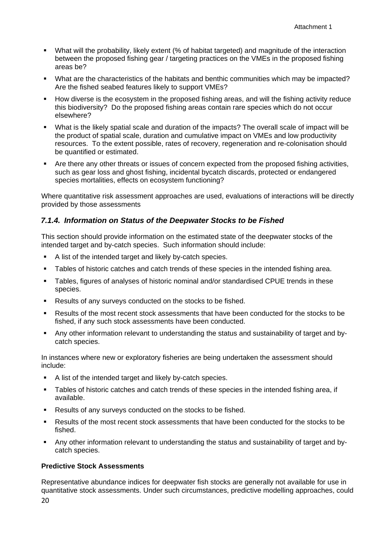- What will the probability, likely extent (% of habitat targeted) and magnitude of the interaction between the proposed fishing gear / targeting practices on the VMEs in the proposed fishing areas be?
- What are the characteristics of the habitats and benthic communities which may be impacted? Are the fished seabed features likely to support VMEs?
- How diverse is the ecosystem in the proposed fishing areas, and will the fishing activity reduce this biodiversity? Do the proposed fishing areas contain rare species which do not occur elsewhere?
- What is the likely spatial scale and duration of the impacts? The overall scale of impact will be the product of spatial scale, duration and cumulative impact on VMEs and low productivity resources. To the extent possible, rates of recovery, regeneration and re-colonisation should be quantified or estimated.
- Are there any other threats or issues of concern expected from the proposed fishing activities, such as gear loss and ghost fishing, incidental bycatch discards, protected or endangered species mortalities, effects on ecosystem functioning?

Where quantitative risk assessment approaches are used, evaluations of interactions will be directly provided by those assessments

### *7.1.4. Information on Status of the Deepwater Stocks to be Fished*

This section should provide information on the estimated state of the deepwater stocks of the intended target and by-catch species. Such information should include:

- A list of the intended target and likely by-catch species.
- Tables of historic catches and catch trends of these species in the intended fishing area.
- Tables, figures of analyses of historic nominal and/or standardised CPUE trends in these species.
- Results of any surveys conducted on the stocks to be fished.
- Results of the most recent stock assessments that have been conducted for the stocks to be fished, if any such stock assessments have been conducted.
- Any other information relevant to understanding the status and sustainability of target and bycatch species.

In instances where new or exploratory fisheries are being undertaken the assessment should include:

- A list of the intended target and likely by-catch species.
- **Tables of historic catches and catch trends of these species in the intended fishing area, if** available.
- Results of any surveys conducted on the stocks to be fished.
- Results of the most recent stock assessments that have been conducted for the stocks to be fished.
- Any other information relevant to understanding the status and sustainability of target and bycatch species.

### **Predictive Stock Assessments**

20 Representative abundance indices for deepwater fish stocks are generally not available for use in quantitative stock assessments. Under such circumstances, predictive modelling approaches, could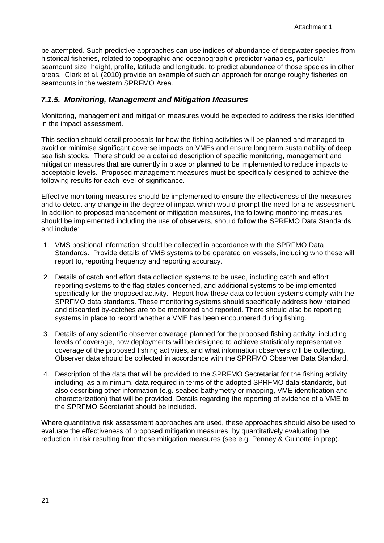be attempted. Such predictive approaches can use indices of abundance of deepwater species from historical fisheries, related to topographic and oceanographic predictor variables, particular seamount size, height, profile, latitude and longitude, to predict abundance of those species in other areas. Clark et al. (2010) provide an example of such an approach for orange roughy fisheries on seamounts in the western SPRFMO Area.

#### *7.1.5. Monitoring, Management and Mitigation Measures*

Monitoring, management and mitigation measures would be expected to address the risks identified in the impact assessment.

This section should detail proposals for how the fishing activities will be planned and managed to avoid or minimise significant adverse impacts on VMEs and ensure long term sustainability of deep sea fish stocks. There should be a detailed description of specific monitoring, management and mitigation measures that are currently in place or planned to be implemented to reduce impacts to acceptable levels. Proposed management measures must be specifically designed to achieve the following results for each level of significance.

Effective monitoring measures should be implemented to ensure the effectiveness of the measures and to detect any change in the degree of impact which would prompt the need for a re-assessment. In addition to proposed management or mitigation measures, the following monitoring measures should be implemented including the use of observers, should follow the SPRFMO Data Standards and include:

- 1. VMS positional information should be collected in accordance with the SPRFMO Data Standards. Provide details of VMS systems to be operated on vessels, including who these will report to, reporting frequency and reporting accuracy.
- 2. Details of catch and effort data collection systems to be used, including catch and effort reporting systems to the flag states concerned, and additional systems to be implemented specifically for the proposed activity. Report how these data collection systems comply with the SPRFMO data standards. These monitoring systems should specifically address how retained and discarded by-catches are to be monitored and reported. There should also be reporting systems in place to record whether a VME has been encountered during fishing.
- 3. Details of any scientific observer coverage planned for the proposed fishing activity, including levels of coverage, how deployments will be designed to achieve statistically representative coverage of the proposed fishing activities, and what information observers will be collecting. Observer data should be collected in accordance with the SPRFMO Observer Data Standard.
- 4. Description of the data that will be provided to the SPRFMO Secretariat for the fishing activity including, as a minimum, data required in terms of the adopted SPRFMO data standards, but also describing other information (e.g. seabed bathymetry or mapping, VME identification and characterization) that will be provided. Details regarding the reporting of evidence of a VME to the SPRFMO Secretariat should be included.

Where quantitative risk assessment approaches are used, these approaches should also be used to evaluate the effectiveness of proposed mitigation measures, by quantitatively evaluating the reduction in risk resulting from those mitigation measures (see e.g. Penney & Guinotte in prep).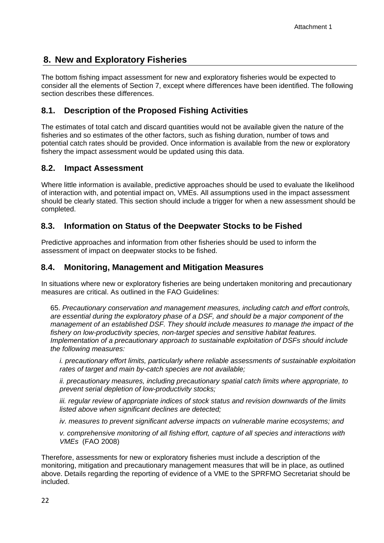# **8. New and Exploratory Fisheries**

The bottom fishing impact assessment for new and exploratory fisheries would be expected to consider all the elements of Section 7, except where differences have been identified. The following section describes these differences.

# **8.1. Description of the Proposed Fishing Activities**

The estimates of total catch and discard quantities would not be available given the nature of the fisheries and so estimates of the other factors, such as fishing duration, number of tows and potential catch rates should be provided. Once information is available from the new or exploratory fishery the impact assessment would be updated using this data.

# **8.2. Impact Assessment**

Where little information is available, predictive approaches should be used to evaluate the likelihood of interaction with, and potential impact on, VMEs. All assumptions used in the impact assessment should be clearly stated. This section should include a trigger for when a new assessment should be completed.

# **8.3. Information on Status of the Deepwater Stocks to be Fished**

Predictive approaches and information from other fisheries should be used to inform the assessment of impact on deepwater stocks to be fished.

# **8.4. Monitoring, Management and Mitigation Measures**

In situations where new or exploratory fisheries are being undertaken monitoring and precautionary measures are critical. As outlined in the FAO Guidelines:

65. *Precautionary conservation and management measures, including catch and effort controls, are essential during the exploratory phase of a DSF, and should be a major component of the management of an established DSF. They should include measures to manage the impact of the fishery on low-productivity species, non-target species and sensitive habitat features. Implementation of a precautionary approach to sustainable exploitation of DSFs should include the following measures:* 

*i. precautionary effort limits, particularly where reliable assessments of sustainable exploitation rates of target and main by-catch species are not available;* 

*ii. precautionary measures, including precautionary spatial catch limits where appropriate, to prevent serial depletion of low-productivity stocks;* 

*iii. regular review of appropriate indices of stock status and revision downwards of the limits listed above when significant declines are detected;* 

*iv. measures to prevent significant adverse impacts on vulnerable marine ecosystems; and* 

*v. comprehensive monitoring of all fishing effort, capture of all species and interactions with VMEs* (FAO 2008)

Therefore, assessments for new or exploratory fisheries must include a description of the monitoring, mitigation and precautionary management measures that will be in place, as outlined above. Details regarding the reporting of evidence of a VME to the SPRFMO Secretariat should be included.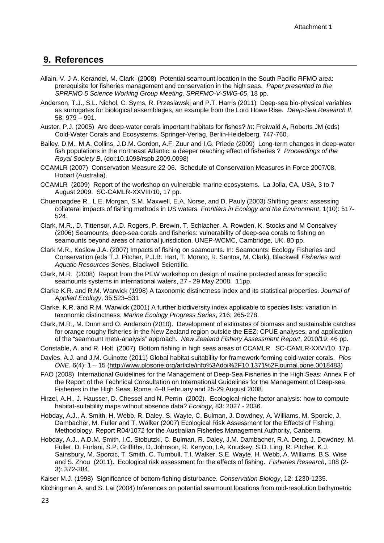# **9. References**

- Allain, V. J-A. Kerandel, M. Clark (2008) Potential seamount location in the South Pacific RFMO area: prerequisite for fisheries management and conservation in the high seas. *Paper presented to the SPRFMO 5 Science Working Group Meeting, SPRFMO-V-SWG-05*, 18 pp.
- Anderson, T.J., S.L. Nichol, C. Syms, R. Przeslawski and P.T. Harris (2011) Deep-sea bio-physical variables as surrogates for biological assemblages, an example from the Lord Howe Rise. *Deep-Sea Research II*, 58: 979 – 991.
- Auster, P.J. (2005) Are deep-water corals important habitats for fishes? *In*: Freiwald A, Roberts JM (eds) Cold-Water Corals and Ecosystems, Springer-Verlag, Berlin-Heidelberg, 747-760.
- Bailey, D.M., M.A. Collins, J.D.M. Gordon, A.F. Zuur and I.G. Priede (2009) Long-term changes in deep-water fish populations in the northeast Atlantic: a deeper reaching effect of fisheries ? *Proceedings of the Royal Society B*, (doi:10.1098/rspb.2009.0098)
- CCAMLR (2007) Conservation Measure 22-06. Schedule of Conservation Measures in Force 2007/08, Hobart (Australia).
- CCAMLR (2009) Report of the workshop on vulnerable marine ecosystems. La Jolla, CA, USA, 3 to 7 August 2009. SC-CAMLR-XXVIII/10, 17 pp.
- Chuenpagdee R., L.E. Morgan, S.M. Maxwell, E.A. Norse, and D. Pauly (2003) Shifting gears: assessing collateral impacts of fishing methods in US waters. *Frontiers in Ecology and the Environment*, 1(10): 517- 524.
- Clark, M.R., D. Tittensor, A.D. Rogers, P. Brewin, T. Schlacher, A. Rowden, K. Stocks and M Consalvey (2006) Seamounts, deep-sea corals and fisheries: vulnerability of deep-sea corals to fishing on seamounts beyond areas of national jurisdiction. UNEP-WCMC, Cambridge, UK. 80 pp.
- Clark M.R., Koslow J.A. (2007) Impacts of fishing on seamounts. In: Seamounts: Ecology Fisheries and Conservation (eds T.J. Pitcher, P.J.B. Hart, T. Morato, R. Santos, M. Clark), Blackwell *Fisheries and Aquatic Resources Series*, Blackwell Scientific.
- Clark, M.R. (2008) Report from the PEW workshop on design of marine protected areas for specific seamounts systems in international waters, 27 - 29 May 2008, 11pp.
- Clarke K.R. and R.M. Warwick (1998) A taxonomic distinctness index and its statistical properties. *Journal of Applied Ecology*, 35:523–531
- Clarke, K.R. and R.M. Warwick (2001) A further biodiversity index applicable to species lists: variation in taxonomic distinctness. *Marine Ecology Progress Series*, 216: 265-278.
- Clark, M.R., M. Dunn and O. Anderson (2010). Development of estimates of biomass and sustainable catches for orange roughy fisheries in the New Zealand region outside the EEZ: CPUE analyses, and application of the "seamount meta-analysis" approach. *New Zealand Fishery Assessment Report*, 2010/19: 46 pp.
- Constable, A. and R. Holt (2007) Bottom fishing in high seas areas of CCAMLR. SC-CAMLR-XXVI/10. 17p.
- Davies, A.J. and J.M. Guinotte (2011) Global habitat suitability for framework-forming cold-water corals. *Plos ONE*, 6(4): 1 – 15 (http://www.plosone.org/article/info%3Adoi%2F10.1371%2Fjournal.pone.0018483)
- FAO (2008) International Guidelines for the Management of Deep-Sea Fisheries in the High Seas: Annex F of the Report of the Technical Consultation on International Guidelines for the Management of Deep-sea Fisheries in the High Seas. Rome, 4–8 February and 25-29 August 2008.
- Hirzel, A.H., J. Hausser, D. Chessel and N. Perrin (2002). Ecological-niche factor analysis: how to compute habitat-suitability maps without absence data? *Ecology*, 83: 2027 - 2036.
- Hobday, A.J., A. Smith, H. Webb, R. Daley, S. Wayte, C. Bulman, J. Dowdney, A. Williams, M. Sporcic, J. Dambacher, M. Fuller and T. Walker (2007) Ecological Risk Assessment for the Effects of Fishing: Methodology. Report R04/1072 for the Australian Fisheries Management Authority, Canberra.
- Hobday, A.J., A.D.M. Smith, I.C. Stobutzki, C. Bulman, R. Daley, J.M. Dambacher, R.A. Deng, J. Dowdney, M. Fuller, D. Furlani, S.P. Griffiths, D. Johnson, R. Kenyon, I.A. Knuckey, S.D. Ling, R. Pitcher, K.J. Sainsbury, M. Sporcic, T. Smith, C. Turnbull, T.I. Walker, S.E. Wayte, H. Webb, A. Williams, B.S. Wise and S. Zhou (2011). Ecological risk assessment for the effects of fishing. *Fisheries Research*, 108 (2- 3): 372-384.

Kaiser M.J. (1998) Significance of bottom-fishing disturbance. *Conservation Biology*, 12: 1230-1235. Kitchingman A. and S. Lai (2004) Inferences on potential seamount locations from mid-resolution bathymetric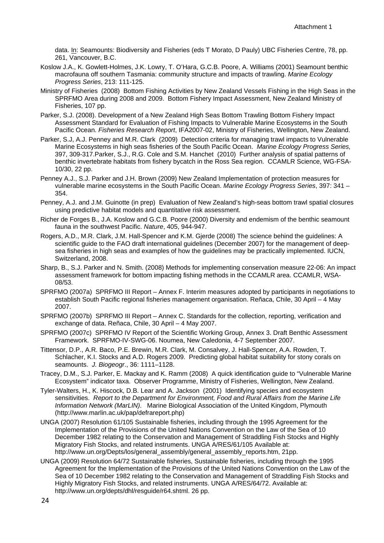data. In: Seamounts: Biodiversity and Fisheries (eds T Morato, D Pauly) UBC Fisheries Centre, 78, pp. 261, Vancouver, B.C.

- Koslow J.A., K. Gowlett-Holmes, J.K. Lowry, T. O'Hara, G.C.B. Poore, A. Williams (2001) Seamount benthic macrofauna off southern Tasmania: community structure and impacts of trawling. *Marine Ecology Progress Series*, 213: 111-125.
- Ministry of Fisheries (2008) Bottom Fishing Activities by New Zealand Vessels Fishing in the High Seas in the SPRFMO Area during 2008 and 2009. Bottom Fishery Impact Assessment, New Zealand Ministry of Fisheries, 107 pp.
- Parker, S.J. (2008). Development of a New Zealand High Seas Bottom Trawling Bottom Fishery Impact Assessment Standard for Evaluation of Fishing Impacts to Vulnerable Marine Ecosystems in the South Pacific Ocean. *Fisheries Research Report*, IFA2007-02, Ministry of Fisheries, Wellington, New Zealand.
- Parker, S.J, A.J. Penney and M.R. Clark (2009) Detection criteria for managing trawl impacts to Vulnerable Marine Ecosystems in high seas fisheries of the South Pacific Ocean. *Marine Ecology Progress Series,* 397, 309-317.Parker, S.J., R.G. Cole and S.M. Hanchet (2010) Further analysis of spatial patterns of benthic invertebrate habitats from fishery bycatch in the Ross Sea region. CCAMLR Science, WG-FSA-10/30, 22 pp.
- Penney A.J., S.J. Parker and J.H. Brown (2009) New Zealand Implementation of protection measures for vulnerable marine ecosystems in the South Pacific Ocean. *Marine Ecology Progress Series*, 397: 341 – 354.
- Penney, A.J. and J.M. Guinotte (in prep) Evaluation of New Zealand's high-seas bottom trawl spatial closures using predictive habitat models and quantitative risk assessment.
- Richer de Forges B., J.A. Koslow and G.C.B. Poore (2000) Diversity and endemism of the benthic seamount fauna in the southwest Pacific. *Nature*, 405, 944-947.
- Rogers, A.D., M.R. Clark, J.M. Hall-Spencer and K.M. Gjerde (2008) The science behind the guidelines: A scientific guide to the FAO draft international guidelines (December 2007) for the management of deepsea fisheries in high seas and examples of how the guidelines may be practically implemented. IUCN, Switzerland, 2008.
- Sharp, B., S.J. Parker and N. Smith. (2008) Methods for implementing conservation measure 22-06: An impact assessment framework for bottom impacting fishing methods in the CCAMLR area. CCAMLR, WSA-08/53.
- SPRFMO (2007a) SPRFMO III Report Annex F. Interim measures adopted by participants in negotiations to establish South Pacific regional fisheries management organisation. Reñaca, Chile, 30 April – 4 May 2007.
- SPRFMO (2007b) SPRFMO III Report Annex C. Standards for the collection, reporting, verification and exchange of data. Reñaca, Chile, 30 April – 4 May 2007.
- SPRFMO (2007c) SPRFMO IV Report of the Scientific Working Group, Annex 3. Draft Benthic Assessment Framework. SPRFMO-IV-SWG-06. Noumea, New Caledonia, 4-7 September 2007.
- Tittensor, D.P., A.R. Baco, P.E. Brewin, M.R. Clark, M. Consalvey, J. Hall-Spencer, A.A. Rowden, T. Schlacher, K.I. Stocks and A.D. Rogers 2009. Predicting global habitat suitability for stony corals on seamounts. *J. Biogeogr*., 36: 1111–1128.
- Tracey, D.M., S.J. Parker, E. Mackay and K. Ramm (2008) A quick identification guide to "Vulnerable Marine Ecosystem" indicator taxa. Observer Programme, Ministry of Fisheries, Wellington, New Zealand.
- Tyler-Walters, H., K. Hiscock, D.B. Lear and A. Jackson (2001) Identifying species and ecosystem sensitivities. *Report to the Department for Environment, Food and Rural Affairs from the Marine Life Information Network (MarLIN)*. Marine Biological Association of the United Kingdom, Plymouth (http://www.marlin.ac.uk/pap/defrareport.php)
- UNGA (2007) Resolution 61/105 Sustainable fisheries, including through the 1995 Agreement for the Implementation of the Provisions of the United Nations Convention on the Law of the Sea of 10 December 1982 relating to the Conservation and Management of Straddling Fish Stocks and Highly Migratory Fish Stocks, and related instruments. UNGA A/RES/61/105 Available at: http://www.un.org/Depts/los/general\_assembly/general\_assembly\_reports.htm, 21pp.
- UNGA (2009) Resolution 64/72 Sustainable fisheries, Sustainable fisheries, including through the 1995 Agreement for the Implementation of the Provisions of the United Nations Convention on the Law of the Sea of 10 December 1982 relating to the Conservation and Management of Straddling Fish Stocks and Highly Migratory Fish Stocks, and related instruments. UNGA A/RES/64/72. Available at: http://www.un.org/depts/dhl/resguide/r64.shtml. 26 pp.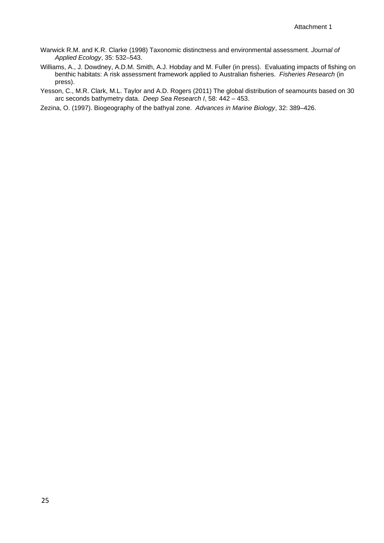- Warwick R.M. and K.R. Clarke (1998) Taxonomic distinctness and environmental assessment. *Journal of Applied Ecology*, 35: 532–543.
- Williams, A., J. Dowdney, A.D.M. Smith, A.J. Hobday and M. Fuller (in press). Evaluating impacts of fishing on benthic habitats: A risk assessment framework applied to Australian fisheries. *Fisheries Research* (in press).
- Yesson, C., M.R. Clark, M.L. Taylor and A.D. Rogers (2011) The global distribution of seamounts based on 30 arc seconds bathymetry data. *Deep Sea Research I*, 58: 442 – 453.

Zezina, O. (1997). Biogeography of the bathyal zone. *Advances in Marine Biology*, 32: 389–426.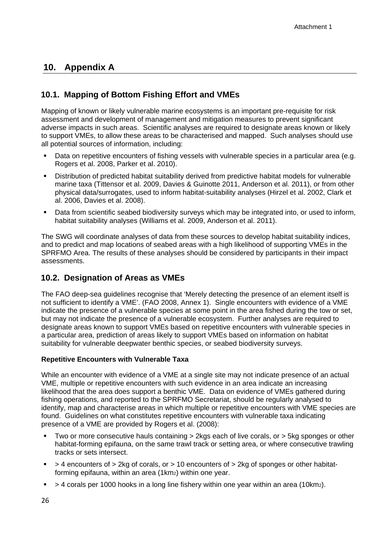# **10. Appendix A**

# **10.1. Mapping of Bottom Fishing Effort and VMEs**

Mapping of known or likely vulnerable marine ecosystems is an important pre-requisite for risk assessment and development of management and mitigation measures to prevent significant adverse impacts in such areas. Scientific analyses are required to designate areas known or likely to support VMEs, to allow these areas to be characterised and mapped. Such analyses should use all potential sources of information, including:

- Data on repetitive encounters of fishing vessels with vulnerable species in a particular area (e.g. Rogers et al. 2008, Parker et al. 2010).
- Distribution of predicted habitat suitability derived from predictive habitat models for vulnerable marine taxa (Tittensor et al. 2009, Davies & Guinotte 2011, Anderson et al. 2011), or from other physical data/surrogates, used to inform habitat-suitability analyses (Hirzel et al. 2002, Clark et al. 2006, Davies et al. 2008).
- **Data from scientific seabed biodiversity surveys which may be integrated into, or used to inform,** habitat suitability analyses (Williams et al. 2009, Anderson et al. 2011).

The SWG will coordinate analyses of data from these sources to develop habitat suitability indices, and to predict and map locations of seabed areas with a high likelihood of supporting VMEs in the SPRFMO Area. The results of these analyses should be considered by participants in their impact assessments.

# **10.2. Designation of Areas as VMEs**

The FAO deep-sea guidelines recognise that 'Merely detecting the presence of an element itself is not sufficient to identify a VME'. (FAO 2008, Annex 1). Single encounters with evidence of a VME indicate the presence of a vulnerable species at some point in the area fished during the tow or set, but may not indicate the presence of a vulnerable ecosystem. Further analyses are required to designate areas known to support VMEs based on repetitive encounters with vulnerable species in a particular area, prediction of areas likely to support VMEs based on information on habitat suitability for vulnerable deepwater benthic species, or seabed biodiversity surveys.

### **Repetitive Encounters with Vulnerable Taxa**

While an encounter with evidence of a VME at a single site may not indicate presence of an actual VME, multiple or repetitive encounters with such evidence in an area indicate an increasing likelihood that the area does support a benthic VME. Data on evidence of VMEs gathered during fishing operations, and reported to the SPRFMO Secretariat, should be regularly analysed to identify, map and characterise areas in which multiple or repetitive encounters with VME species are found. Guidelines on what constitutes repetitive encounters with vulnerable taxa indicating presence of a VME are provided by Rogers et al. (2008):

- Two or more consecutive hauls containing > 2kgs each of live corals, or > 5kg sponges or other habitat-forming epifauna, on the same trawl track or setting area, or where consecutive trawling tracks or sets intersect.
- $\bullet$  > 4 encounters of > 2kg of corals, or > 10 encounters of > 2kg of sponges or other habitatforming epifauna, within an area (1km2) within one year.
- $\rightarrow$  4 corals per 1000 hooks in a long line fishery within one year within an area (10 km2).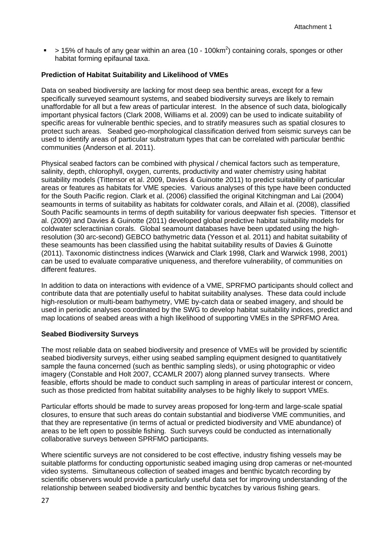$\sim$  > 15% of hauls of any gear within an area (10 - 100 km<sup>2</sup>) containing corals, sponges or other habitat forming epifaunal taxa.

#### **Prediction of Habitat Suitability and Likelihood of VMEs**

Data on seabed biodiversity are lacking for most deep sea benthic areas, except for a few specifically surveyed seamount systems, and seabed biodiversity surveys are likely to remain unaffordable for all but a few areas of particular interest. In the absence of such data, biologically important physical factors (Clark 2008, Williams et al. 2009) can be used to indicate suitability of specific areas for vulnerable benthic species, and to stratify measures such as spatial closures to protect such areas. Seabed geo-morphological classification derived from seismic surveys can be used to identify areas of particular substratum types that can be correlated with particular benthic communities (Anderson et al. 2011).

Physical seabed factors can be combined with physical / chemical factors such as temperature, salinity, depth, chlorophyll, oxygen, currents, productivity and water chemistry using habitat suitability models (Tittensor et al. 2009, Davies & Guinotte 2011) to predict suitability of particular areas or features as habitats for VME species. Various analyses of this type have been conducted for the South Pacific region. Clark et al. (2006) classified the original Kitchingman and Lai (2004) seamounts in terms of suitability as habitats for coldwater corals, and Allain et al. (2008), classified South Pacific seamounts in terms of depth suitability for various deepwater fish species. Tittensor et al. (2009) and Davies & Guinotte (2011) developed global predictive habitat suitability models for coldwater scleractinian corals. Global seamount databases have been updated using the highresolution (30 arc-second) GEBCO bathymetric data (Yesson et al. 2011) and habitat suitability of these seamounts has been classified using the habitat suitability results of Davies & Guinotte (2011). Taxonomic distinctness indices (Warwick and Clark 1998, Clark and Warwick 1998, 2001) can be used to evaluate comparative uniqueness, and therefore vulnerability, of communities on different features.

In addition to data on interactions with evidence of a VME, SPRFMO participants should collect and contribute data that are potentially useful to habitat suitability analyses. These data could include high-resolution or multi-beam bathymetry, VME by-catch data or seabed imagery, and should be used in periodic analyses coordinated by the SWG to develop habitat suitability indices, predict and map locations of seabed areas with a high likelihood of supporting VMEs in the SPRFMO Area.

#### **Seabed Biodiversity Surveys**

The most reliable data on seabed biodiversity and presence of VMEs will be provided by scientific seabed biodiversity surveys, either using seabed sampling equipment designed to quantitatively sample the fauna concerned (such as benthic sampling sleds), or using photographic or video imagery (Constable and Holt 2007, CCAMLR 2007) along planned survey transects. Where feasible, efforts should be made to conduct such sampling in areas of particular interest or concern, such as those predicted from habitat suitability analyses to be highly likely to support VMEs.

Particular efforts should be made to survey areas proposed for long-term and large-scale spatial closures, to ensure that such areas do contain substantial and biodiverse VME communities, and that they are representative (in terms of actual or predicted biodiversity and VME abundance) of areas to be left open to possible fishing. Such surveys could be conducted as internationally collaborative surveys between SPRFMO participants.

Where scientific surveys are not considered to be cost effective, industry fishing vessels may be suitable platforms for conducting opportunistic seabed imaging using drop cameras or net-mounted video systems. Simultaneous collection of seabed images and benthic bycatch recording by scientific observers would provide a particularly useful data set for improving understanding of the relationship between seabed biodiversity and benthic bycatches by various fishing gears.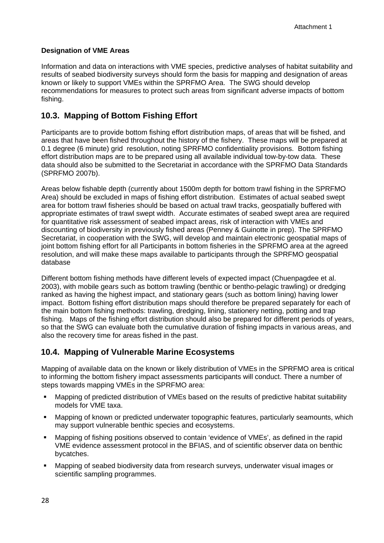#### **Designation of VME Areas**

Information and data on interactions with VME species, predictive analyses of habitat suitability and results of seabed biodiversity surveys should form the basis for mapping and designation of areas known or likely to support VMEs within the SPRFMO Area. The SWG should develop recommendations for measures to protect such areas from significant adverse impacts of bottom fishing.

# **10.3. Mapping of Bottom Fishing Effort**

Participants are to provide bottom fishing effort distribution maps, of areas that will be fished, and areas that have been fished throughout the history of the fishery. These maps will be prepared at 0.1 degree (6 minute) grid resolution, noting SPRFMO confidentiality provisions. Bottom fishing effort distribution maps are to be prepared using all available individual tow-by-tow data. These data should also be submitted to the Secretariat in accordance with the SPRFMO Data Standards (SPRFMO 2007b).

Areas below fishable depth (currently about 1500m depth for bottom trawl fishing in the SPRFMO Area) should be excluded in maps of fishing effort distribution. Estimates of actual seabed swept area for bottom trawl fisheries should be based on actual trawl tracks, geospatially buffered with appropriate estimates of trawl swept width. Accurate estimates of seabed swept area are required for quantitative risk assessment of seabed impact areas, risk of interaction with VMEs and discounting of biodiversity in previously fished areas (Penney & Guinotte in prep). The SPRFMO Secretariat, in cooperation with the SWG, will develop and maintain electronic geospatial maps of joint bottom fishing effort for all Participants in bottom fisheries in the SPRFMO area at the agreed resolution, and will make these maps available to participants through the SPRFMO geospatial database

Different bottom fishing methods have different levels of expected impact (Chuenpagdee et al. 2003), with mobile gears such as bottom trawling (benthic or bentho-pelagic trawling) or dredging ranked as having the highest impact, and stationary gears (such as bottom lining) having lower impact. Bottom fishing effort distribution maps should therefore be prepared separately for each of the main bottom fishing methods: trawling, dredging, lining, stationery netting, potting and trap fishing. Maps of the fishing effort distribution should also be prepared for different periods of years, so that the SWG can evaluate both the cumulative duration of fishing impacts in various areas, and also the recovery time for areas fished in the past.

### **10.4. Mapping of Vulnerable Marine Ecosystems**

Mapping of available data on the known or likely distribution of VMEs in the SPRFMO area is critical to informing the bottom fishery impact assessments participants will conduct. There a number of steps towards mapping VMEs in the SPRFMO area:

- Mapping of predicted distribution of VMEs based on the results of predictive habitat suitability models for VME taxa.
- Mapping of known or predicted underwater topographic features, particularly seamounts, which may support vulnerable benthic species and ecosystems.
- Mapping of fishing positions observed to contain 'evidence of VMEs', as defined in the rapid VME evidence assessment protocol in the BFIAS, and of scientific observer data on benthic bycatches.
- Mapping of seabed biodiversity data from research surveys, underwater visual images or scientific sampling programmes.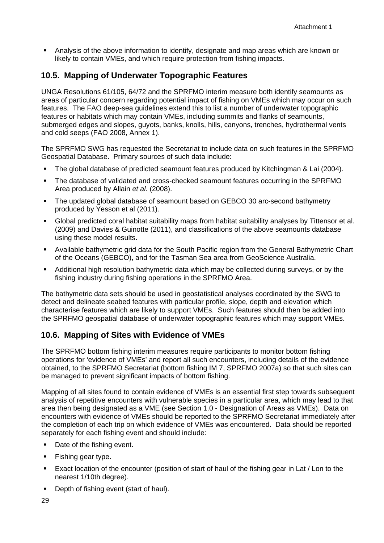Analysis of the above information to identify, designate and map areas which are known or likely to contain VMEs, and which require protection from fishing impacts.

# **10.5. Mapping of Underwater Topographic Features**

UNGA Resolutions 61/105, 64/72 and the SPRFMO interim measure both identify seamounts as areas of particular concern regarding potential impact of fishing on VMEs which may occur on such features. The FAO deep-sea guidelines extend this to list a number of underwater topographic features or habitats which may contain VMEs, including summits and flanks of seamounts, submerged edges and slopes, guyots, banks, knolls, hills, canyons, trenches, hydrothermal vents and cold seeps (FAO 2008, Annex 1).

The SPRFMO SWG has requested the Secretariat to include data on such features in the SPRFMO Geospatial Database. Primary sources of such data include:

- The global database of predicted seamount features produced by Kitchingman & Lai (2004).
- The database of validated and cross-checked seamount features occurring in the SPRFMO Area produced by Allain *et al*. (2008).
- The updated global database of seamount based on GEBCO 30 arc-second bathymetry produced by Yesson et al (2011).
- Global predicted coral habitat suitability maps from habitat suitability analyses by Tittensor et al. (2009) and Davies & Guinotte (2011), and classifications of the above seamounts database using these model results.
- Available bathymetric grid data for the South Pacific region from the General Bathymetric Chart of the Oceans (GEBCO), and for the Tasman Sea area from GeoScience Australia.
- Additional high resolution bathymetric data which may be collected during surveys, or by the fishing industry during fishing operations in the SPRFMO Area.

The bathymetric data sets should be used in geostatistical analyses coordinated by the SWG to detect and delineate seabed features with particular profile, slope, depth and elevation which characterise features which are likely to support VMEs. Such features should then be added into the SPRFMO geospatial database of underwater topographic features which may support VMEs.

# **10.6. Mapping of Sites with Evidence of VMEs**

The SPRFMO bottom fishing interim measures require participants to monitor bottom fishing operations for 'evidence of VMEs' and report all such encounters, including details of the evidence obtained, to the SPRFMO Secretariat (bottom fishing IM 7, SPRFMO 2007a) so that such sites can be managed to prevent significant impacts of bottom fishing.

Mapping of all sites found to contain evidence of VMEs is an essential first step towards subsequent analysis of repetitive encounters with vulnerable species in a particular area, which may lead to that area then being designated as a VME (see Section 1.0 - Designation of Areas as VMEs). Data on encounters with evidence of VMEs should be reported to the SPRFMO Secretariat immediately after the completion of each trip on which evidence of VMEs was encountered. Data should be reported separately for each fishing event and should include:

- Date of the fishing event.
- Fishing gear type.
- Exact location of the encounter (position of start of haul of the fishing gear in Lat / Lon to the nearest 1/10th degree).
- Depth of fishing event (start of haul).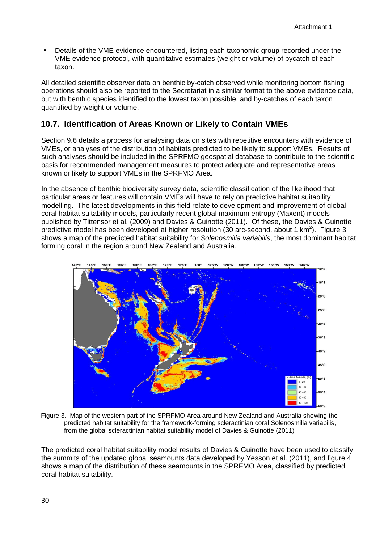Details of the VME evidence encountered, listing each taxonomic group recorded under the VME evidence protocol, with quantitative estimates (weight or volume) of bycatch of each taxon.

All detailed scientific observer data on benthic by-catch observed while monitoring bottom fishing operations should also be reported to the Secretariat in a similar format to the above evidence data, but with benthic species identified to the lowest taxon possible, and by-catches of each taxon quantified by weight or volume.

# **10.7. Identification of Areas Known or Likely to Contain VMEs**

Section 9.6 details a process for analysing data on sites with repetitive encounters with evidence of VMEs, or analyses of the distribution of habitats predicted to be likely to support VMEs. Results of such analyses should be included in the SPRFMO geospatial database to contribute to the scientific basis for recommended management measures to protect adequate and representative areas known or likely to support VMEs in the SPRFMO Area.

In the absence of benthic biodiversity survey data, scientific classification of the likelihood that particular areas or features will contain VMEs will have to rely on predictive habitat suitability modelling. The latest developments in this field relate to development and improvement of global coral habitat suitability models, particularly recent global maximum entropy (Maxent) models published by Tittensor et al, (2009) and Davies & Guinotte (2011). Of these, the Davies & Guinotte predictive model has been developed at higher resolution (30 arc-second, about 1 km<sup>2</sup>). Figure 3 shows a map of the predicted habitat suitability for *Solenosmilia variabilis*, the most dominant habitat forming coral in the region around New Zealand and Australia.



Figure 3. Map of the western part of the SPRFMO Area around New Zealand and Australia showing the predicted habitat suitability for the framework-forming scleractinian coral Solenosmilia variabilis, from the global scleractinian habitat suitability model of Davies & Guinotte (2011)

The predicted coral habitat suitability model results of Davies & Guinotte have been used to classify the summits of the updated global seamounts data developed by Yesson et al. (2011), and figure 4 shows a map of the distribution of these seamounts in the SPRFMO Area, classified by predicted coral habitat suitability.